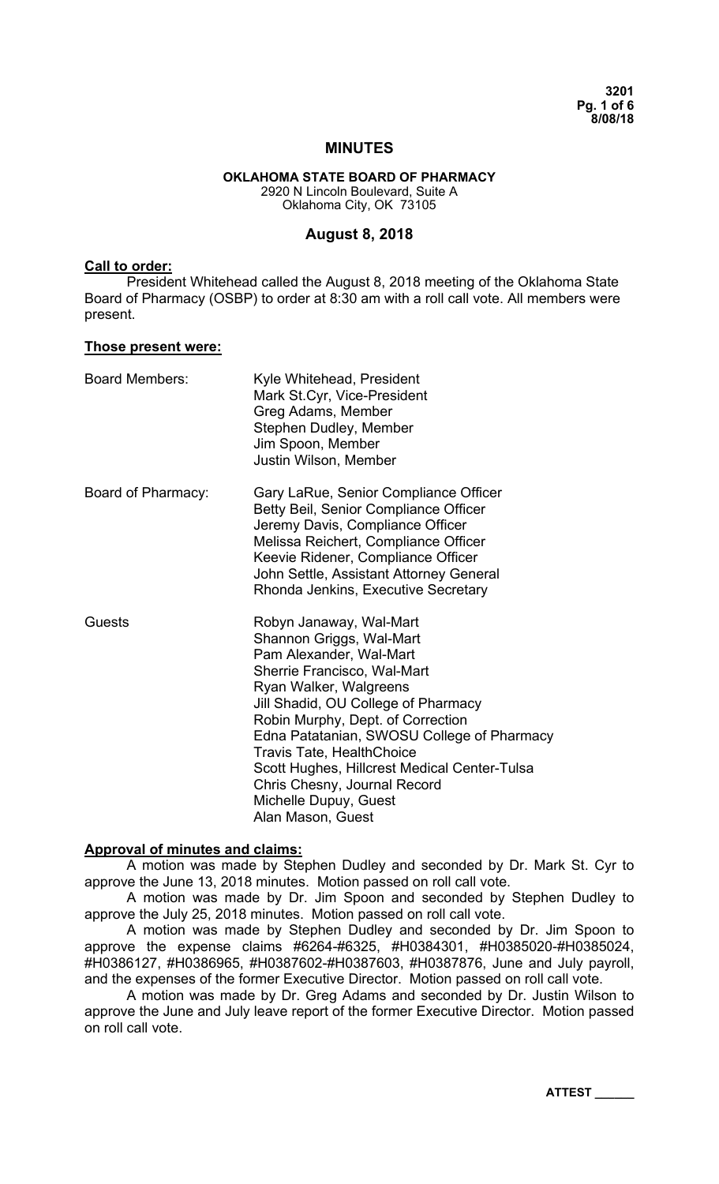**3201 Pg. 1 of 6 8/08/18** 

#### **MINUTES**

#### **OKLAHOMA STATE BOARD OF PHARMACY**  2920 N Lincoln Boulevard, Suite A Oklahoma City, OK 73105

#### **August 8, 2018**

#### **Call to order:**

President Whitehead called the August 8, 2018 meeting of the Oklahoma State Board of Pharmacy (OSBP) to order at 8:30 am with a roll call vote. All members were present.

#### **Those present were:**

| <b>Board Members:</b> | Kyle Whitehead, President<br>Mark St.Cyr, Vice-President<br>Greg Adams, Member<br>Stephen Dudley, Member<br>Jim Spoon, Member<br>Justin Wilson, Member                                                                                                                                                                                                                                                                              |
|-----------------------|-------------------------------------------------------------------------------------------------------------------------------------------------------------------------------------------------------------------------------------------------------------------------------------------------------------------------------------------------------------------------------------------------------------------------------------|
| Board of Pharmacy:    | Gary LaRue, Senior Compliance Officer<br>Betty Beil, Senior Compliance Officer<br>Jeremy Davis, Compliance Officer<br>Melissa Reichert, Compliance Officer<br>Keevie Ridener, Compliance Officer<br>John Settle, Assistant Attorney General<br>Rhonda Jenkins, Executive Secretary                                                                                                                                                  |
| Guests                | Robyn Janaway, Wal-Mart<br>Shannon Griggs, Wal-Mart<br>Pam Alexander, Wal-Mart<br>Sherrie Francisco, Wal-Mart<br>Ryan Walker, Walgreens<br>Jill Shadid, OU College of Pharmacy<br>Robin Murphy, Dept. of Correction<br>Edna Patatanian, SWOSU College of Pharmacy<br><b>Travis Tate, HealthChoice</b><br>Scott Hughes, Hillcrest Medical Center-Tulsa<br>Chris Chesny, Journal Record<br>Michelle Dupuy, Guest<br>Alan Mason, Guest |

#### **Approval of minutes and claims:**

A motion was made by Stephen Dudley and seconded by Dr. Mark St. Cyr to approve the June 13, 2018 minutes. Motion passed on roll call vote.

 A motion was made by Dr. Jim Spoon and seconded by Stephen Dudley to approve the July 25, 2018 minutes. Motion passed on roll call vote.

A motion was made by Stephen Dudley and seconded by Dr. Jim Spoon to approve the expense claims #6264-#6325, #H0384301, #H0385020-#H0385024, #H0386127, #H0386965, #H0387602-#H0387603, #H0387876, June and July payroll, and the expenses of the former Executive Director. Motion passed on roll call vote.

A motion was made by Dr. Greg Adams and seconded by Dr. Justin Wilson to approve the June and July leave report of the former Executive Director. Motion passed on roll call vote.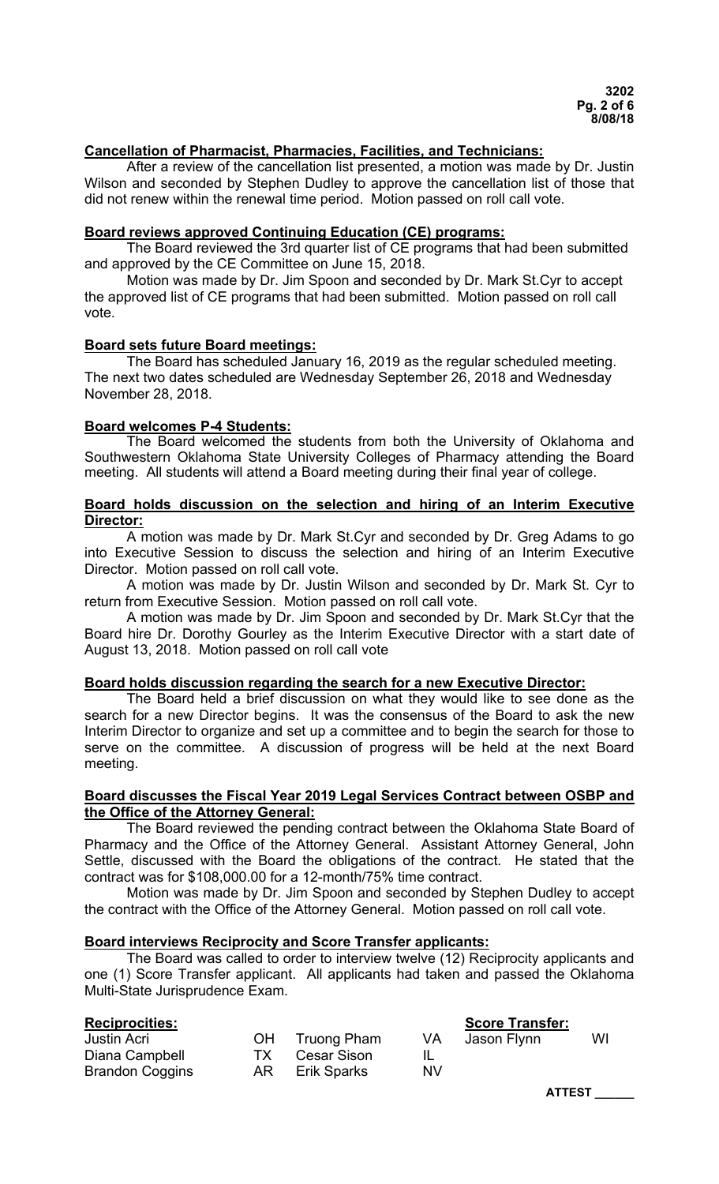# **Cancellation of Pharmacist, Pharmacies, Facilities, and Technicians:**

 After a review of the cancellation list presented, a motion was made by Dr. Justin Wilson and seconded by Stephen Dudley to approve the cancellation list of those that did not renew within the renewal time period. Motion passed on roll call vote.

#### **Board reviews approved Continuing Education (CE) programs:**

The Board reviewed the 3rd quarter list of CE programs that had been submitted and approved by the CE Committee on June 15, 2018.

Motion was made by Dr. Jim Spoon and seconded by Dr. Mark St.Cyr to accept the approved list of CE programs that had been submitted. Motion passed on roll call vote.

#### **Board sets future Board meetings:**

The Board has scheduled January 16, 2019 as the regular scheduled meeting. The next two dates scheduled are Wednesday September 26, 2018 and Wednesday November 28, 2018.

#### **Board welcomes P-4 Students:**

 The Board welcomed the students from both the University of Oklahoma and Southwestern Oklahoma State University Colleges of Pharmacy attending the Board meeting. All students will attend a Board meeting during their final year of college.

## **Board holds discussion on the selection and hiring of an Interim Executive Director:**

 A motion was made by Dr. Mark St.Cyr and seconded by Dr. Greg Adams to go into Executive Session to discuss the selection and hiring of an Interim Executive Director. Motion passed on roll call vote.

 A motion was made by Dr. Justin Wilson and seconded by Dr. Mark St. Cyr to return from Executive Session. Motion passed on roll call vote.

 A motion was made by Dr. Jim Spoon and seconded by Dr. Mark St.Cyr that the Board hire Dr. Dorothy Gourley as the Interim Executive Director with a start date of August 13, 2018. Motion passed on roll call vote

### **Board holds discussion regarding the search for a new Executive Director:**

 The Board held a brief discussion on what they would like to see done as the search for a new Director begins. It was the consensus of the Board to ask the new Interim Director to organize and set up a committee and to begin the search for those to serve on the committee. A discussion of progress will be held at the next Board meeting.

#### **Board discusses the Fiscal Year 2019 Legal Services Contract between OSBP and the Office of the Attorney General:**

 The Board reviewed the pending contract between the Oklahoma State Board of Pharmacy and the Office of the Attorney General. Assistant Attorney General, John Settle, discussed with the Board the obligations of the contract. He stated that the contract was for \$108,000.00 for a 12-month/75% time contract.

 Motion was made by Dr. Jim Spoon and seconded by Stephen Dudley to accept the contract with the Office of the Attorney General. Motion passed on roll call vote.

#### **Board interviews Reciprocity and Score Transfer applicants:**

 The Board was called to order to interview twelve (12) Reciprocity applicants and one (1) Score Transfer applicant. All applicants had taken and passed the Oklahoma Multi-State Jurisprudence Exam.

| <b>Reciprocities:</b>  |      |             |     | <b>Score Transfer:</b> |    |
|------------------------|------|-------------|-----|------------------------|----|
| <b>Justin Acri</b>     | OH   | Truong Pham | VA  | Jason Flynn            | WI |
| Diana Campbell         | TX.  | Cesar Sison |     |                        |    |
| <b>Brandon Coggins</b> | AR I | Erik Sparks | NV. |                        |    |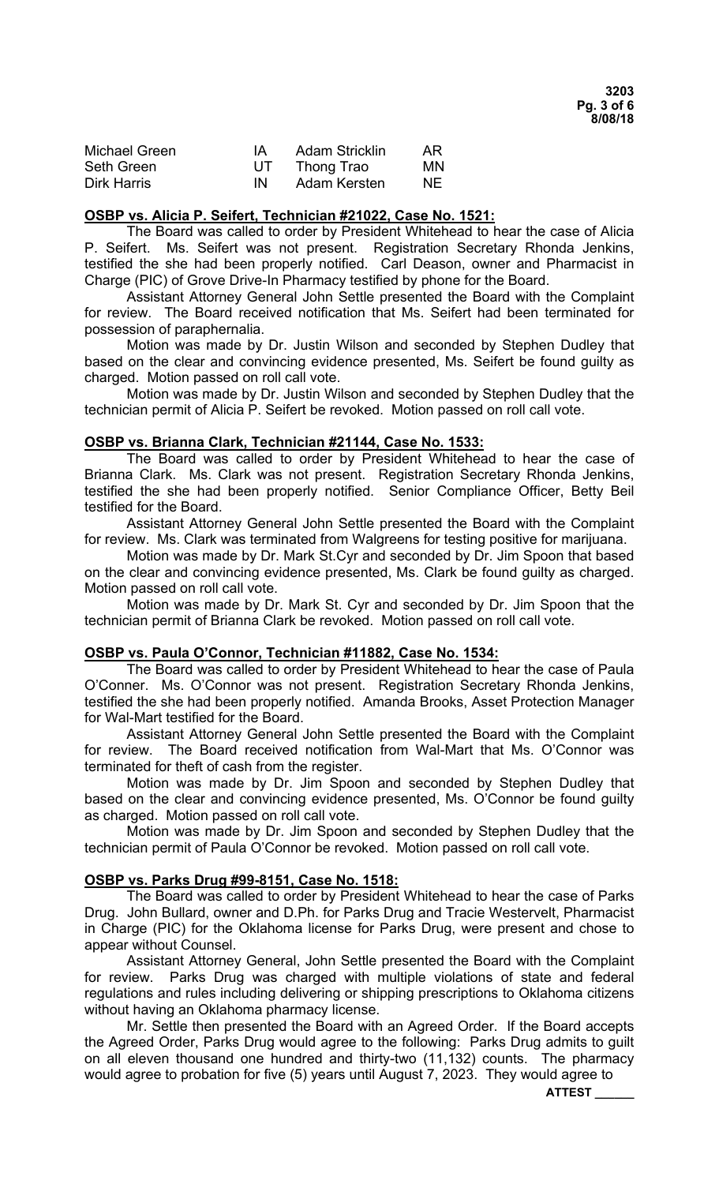| Michael Green      | IA. | <b>Adam Stricklin</b> | AR. |
|--------------------|-----|-----------------------|-----|
| Seth Green         | UT  | Thong Trao            | MN  |
| <b>Dirk Harris</b> | IN  | Adam Kersten          | NF. |

#### **OSBP vs. Alicia P. Seifert, Technician #21022, Case No. 1521:**

The Board was called to order by President Whitehead to hear the case of Alicia P. Seifert. Ms. Seifert was not present. Registration Secretary Rhonda Jenkins, testified the she had been properly notified. Carl Deason, owner and Pharmacist in Charge (PIC) of Grove Drive-In Pharmacy testified by phone for the Board.

Assistant Attorney General John Settle presented the Board with the Complaint for review. The Board received notification that Ms. Seifert had been terminated for possession of paraphernalia.

Motion was made by Dr. Justin Wilson and seconded by Stephen Dudley that based on the clear and convincing evidence presented, Ms. Seifert be found guilty as charged. Motion passed on roll call vote.

Motion was made by Dr. Justin Wilson and seconded by Stephen Dudley that the technician permit of Alicia P. Seifert be revoked. Motion passed on roll call vote.

#### **OSBP vs. Brianna Clark, Technician #21144, Case No. 1533:**

The Board was called to order by President Whitehead to hear the case of Brianna Clark. Ms. Clark was not present. Registration Secretary Rhonda Jenkins, testified the she had been properly notified. Senior Compliance Officer, Betty Beil testified for the Board.

Assistant Attorney General John Settle presented the Board with the Complaint for review. Ms. Clark was terminated from Walgreens for testing positive for marijuana.

Motion was made by Dr. Mark St.Cyr and seconded by Dr. Jim Spoon that based on the clear and convincing evidence presented, Ms. Clark be found guilty as charged. Motion passed on roll call vote.

Motion was made by Dr. Mark St. Cyr and seconded by Dr. Jim Spoon that the technician permit of Brianna Clark be revoked. Motion passed on roll call vote.

# **OSBP vs. Paula O'Connor, Technician #11882, Case No. 1534:**

The Board was called to order by President Whitehead to hear the case of Paula O'Conner. Ms. O'Connor was not present. Registration Secretary Rhonda Jenkins, testified the she had been properly notified. Amanda Brooks, Asset Protection Manager for Wal-Mart testified for the Board.

Assistant Attorney General John Settle presented the Board with the Complaint for review. The Board received notification from Wal-Mart that Ms. O'Connor was terminated for theft of cash from the register.

Motion was made by Dr. Jim Spoon and seconded by Stephen Dudley that based on the clear and convincing evidence presented, Ms. O'Connor be found guilty as charged. Motion passed on roll call vote.

Motion was made by Dr. Jim Spoon and seconded by Stephen Dudley that the technician permit of Paula O'Connor be revoked. Motion passed on roll call vote.

### **OSBP vs. Parks Drug #99-8151, Case No. 1518:**

The Board was called to order by President Whitehead to hear the case of Parks Drug. John Bullard, owner and D.Ph. for Parks Drug and Tracie Westervelt, Pharmacist in Charge (PIC) for the Oklahoma license for Parks Drug, were present and chose to appear without Counsel.

Assistant Attorney General, John Settle presented the Board with the Complaint for review. Parks Drug was charged with multiple violations of state and federal regulations and rules including delivering or shipping prescriptions to Oklahoma citizens without having an Oklahoma pharmacy license.

Mr. Settle then presented the Board with an Agreed Order. If the Board accepts the Agreed Order, Parks Drug would agree to the following: Parks Drug admits to guilt on all eleven thousand one hundred and thirty-two (11,132) counts. The pharmacy would agree to probation for five (5) years until August 7, 2023. They would agree to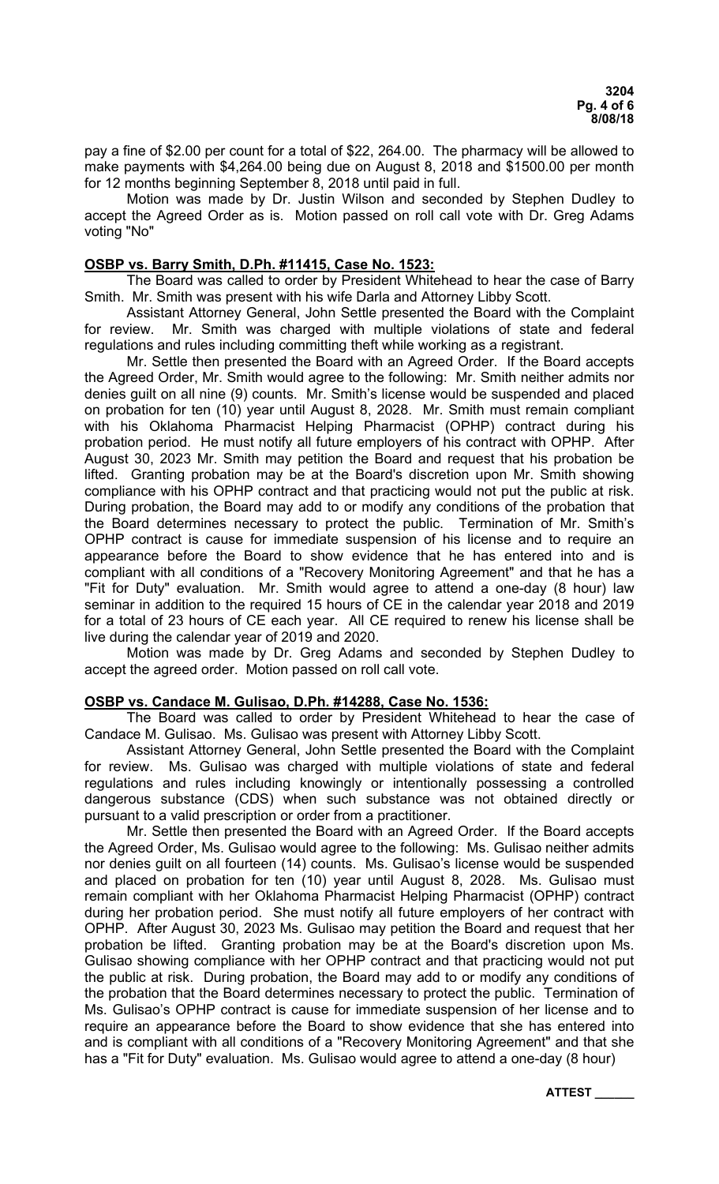pay a fine of \$2.00 per count for a total of \$22, 264.00. The pharmacy will be allowed to make payments with \$4,264.00 being due on August 8, 2018 and \$1500.00 per month for 12 months beginning September 8, 2018 until paid in full.

Motion was made by Dr. Justin Wilson and seconded by Stephen Dudley to accept the Agreed Order as is. Motion passed on roll call vote with Dr. Greg Adams voting "No"

## **OSBP vs. Barry Smith, D.Ph. #11415, Case No. 1523:**

 The Board was called to order by President Whitehead to hear the case of Barry Smith. Mr. Smith was present with his wife Darla and Attorney Libby Scott.

 Assistant Attorney General, John Settle presented the Board with the Complaint for review. Mr. Smith was charged with multiple violations of state and federal regulations and rules including committing theft while working as a registrant.

 Mr. Settle then presented the Board with an Agreed Order. If the Board accepts the Agreed Order, Mr. Smith would agree to the following: Mr. Smith neither admits nor denies guilt on all nine (9) counts. Mr. Smith's license would be suspended and placed on probation for ten (10) year until August 8, 2028. Mr. Smith must remain compliant with his Oklahoma Pharmacist Helping Pharmacist (OPHP) contract during his probation period. He must notify all future employers of his contract with OPHP. After August 30, 2023 Mr. Smith may petition the Board and request that his probation be lifted. Granting probation may be at the Board's discretion upon Mr. Smith showing compliance with his OPHP contract and that practicing would not put the public at risk. During probation, the Board may add to or modify any conditions of the probation that the Board determines necessary to protect the public. Termination of Mr. Smith's OPHP contract is cause for immediate suspension of his license and to require an appearance before the Board to show evidence that he has entered into and is compliant with all conditions of a "Recovery Monitoring Agreement" and that he has a "Fit for Duty" evaluation. Mr. Smith would agree to attend a one-day (8 hour) law seminar in addition to the required 15 hours of CE in the calendar year 2018 and 2019 for a total of 23 hours of CE each year. All CE required to renew his license shall be live during the calendar year of 2019 and 2020.

 Motion was made by Dr. Greg Adams and seconded by Stephen Dudley to accept the agreed order. Motion passed on roll call vote.

### **OSBP vs. Candace M. Gulisao, D.Ph. #14288, Case No. 1536:**

 The Board was called to order by President Whitehead to hear the case of Candace M. Gulisao. Ms. Gulisao was present with Attorney Libby Scott.

 Assistant Attorney General, John Settle presented the Board with the Complaint for review. Ms. Gulisao was charged with multiple violations of state and federal regulations and rules including knowingly or intentionally possessing a controlled dangerous substance (CDS) when such substance was not obtained directly or pursuant to a valid prescription or order from a practitioner.

 Mr. Settle then presented the Board with an Agreed Order. If the Board accepts the Agreed Order, Ms. Gulisao would agree to the following: Ms. Gulisao neither admits nor denies guilt on all fourteen (14) counts. Ms. Gulisao's license would be suspended and placed on probation for ten (10) year until August 8, 2028. Ms. Gulisao must remain compliant with her Oklahoma Pharmacist Helping Pharmacist (OPHP) contract during her probation period. She must notify all future employers of her contract with OPHP. After August 30, 2023 Ms. Gulisao may petition the Board and request that her probation be lifted. Granting probation may be at the Board's discretion upon Ms. Gulisao showing compliance with her OPHP contract and that practicing would not put the public at risk. During probation, the Board may add to or modify any conditions of the probation that the Board determines necessary to protect the public. Termination of Ms. Gulisao's OPHP contract is cause for immediate suspension of her license and to require an appearance before the Board to show evidence that she has entered into and is compliant with all conditions of a "Recovery Monitoring Agreement" and that she has a "Fit for Duty" evaluation. Ms. Gulisao would agree to attend a one-day (8 hour)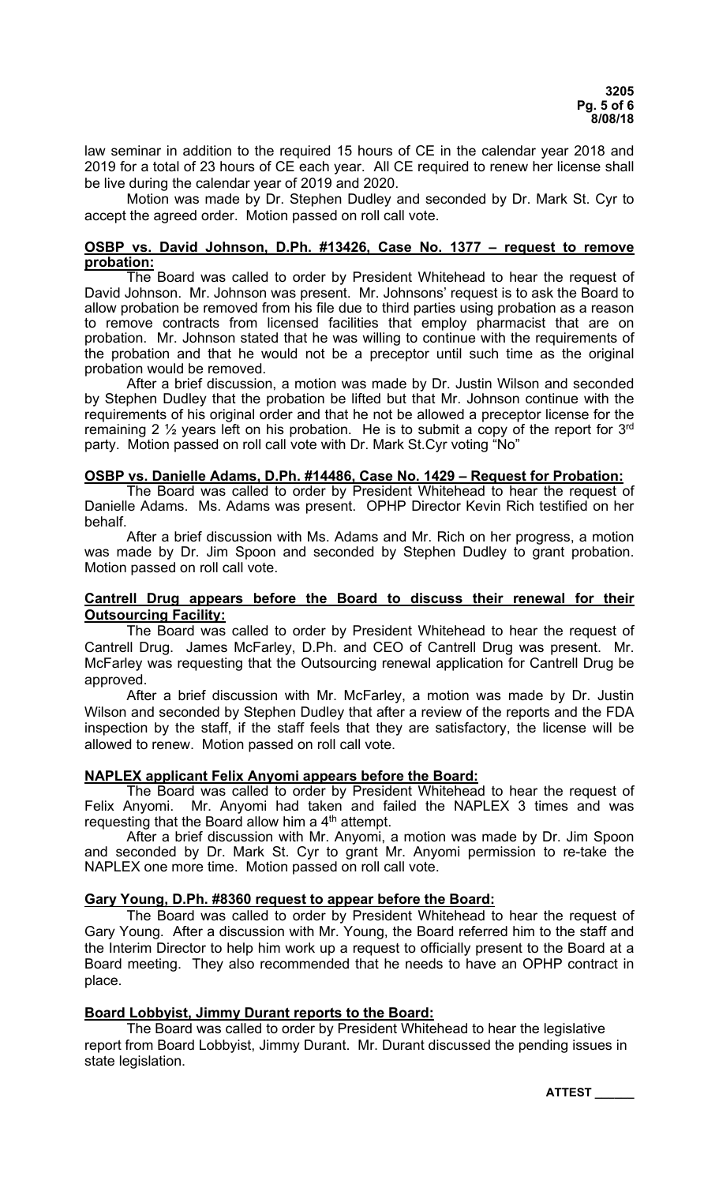law seminar in addition to the required 15 hours of CE in the calendar year 2018 and 2019 for a total of 23 hours of CE each year. All CE required to renew her license shall be live during the calendar year of 2019 and 2020.

 Motion was made by Dr. Stephen Dudley and seconded by Dr. Mark St. Cyr to accept the agreed order. Motion passed on roll call vote.

### **OSBP vs. David Johnson, D.Ph. #13426, Case No. 1377 – request to remove probation:**

 The Board was called to order by President Whitehead to hear the request of David Johnson. Mr. Johnson was present. Mr. Johnsons' request is to ask the Board to allow probation be removed from his file due to third parties using probation as a reason to remove contracts from licensed facilities that employ pharmacist that are on probation. Mr. Johnson stated that he was willing to continue with the requirements of the probation and that he would not be a preceptor until such time as the original probation would be removed.

 After a brief discussion, a motion was made by Dr. Justin Wilson and seconded by Stephen Dudley that the probation be lifted but that Mr. Johnson continue with the requirements of his original order and that he not be allowed a preceptor license for the remaining 2  $\frac{1}{2}$  years left on his probation. He is to submit a copy of the report for 3<sup>rd</sup> party. Motion passed on roll call vote with Dr. Mark St.Cyr voting "No"

#### **OSBP vs. Danielle Adams, D.Ph. #14486, Case No. 1429 – Request for Probation:**

 The Board was called to order by President Whitehead to hear the request of Danielle Adams. Ms. Adams was present. OPHP Director Kevin Rich testified on her behalf.

 After a brief discussion with Ms. Adams and Mr. Rich on her progress, a motion was made by Dr. Jim Spoon and seconded by Stephen Dudley to grant probation. Motion passed on roll call vote.

#### **Cantrell Drug appears before the Board to discuss their renewal for their Outsourcing Facility:**

 The Board was called to order by President Whitehead to hear the request of Cantrell Drug. James McFarley, D.Ph. and CEO of Cantrell Drug was present. Mr. McFarley was requesting that the Outsourcing renewal application for Cantrell Drug be approved.

 After a brief discussion with Mr. McFarley, a motion was made by Dr. Justin Wilson and seconded by Stephen Dudley that after a review of the reports and the FDA inspection by the staff, if the staff feels that they are satisfactory, the license will be allowed to renew. Motion passed on roll call vote.

### **NAPLEX applicant Felix Anyomi appears before the Board:**

 The Board was called to order by President Whitehead to hear the request of Felix Anyomi. Mr. Anyomi had taken and failed the NAPLEX 3 times and was requesting that the Board allow him a 4<sup>th</sup> attempt.

 After a brief discussion with Mr. Anyomi, a motion was made by Dr. Jim Spoon and seconded by Dr. Mark St. Cyr to grant Mr. Anyomi permission to re-take the NAPLEX one more time. Motion passed on roll call vote.

### **Gary Young, D.Ph. #8360 request to appear before the Board:**

 The Board was called to order by President Whitehead to hear the request of Gary Young. After a discussion with Mr. Young, the Board referred him to the staff and the Interim Director to help him work up a request to officially present to the Board at a Board meeting. They also recommended that he needs to have an OPHP contract in place.

# **Board Lobbyist, Jimmy Durant reports to the Board:**

 The Board was called to order by President Whitehead to hear the legislative report from Board Lobbyist, Jimmy Durant. Mr. Durant discussed the pending issues in state legislation.